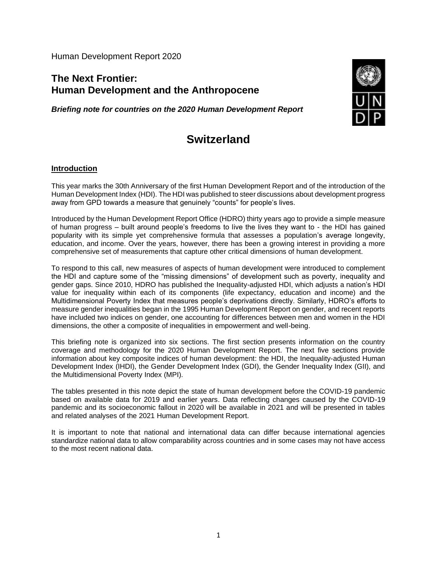Human Development Report 2020

# **The Next Frontier: Human Development and the Anthropocene**

*Briefing note for countries on the 2020 Human Development Report*



# **Switzerland**

#### **Introduction**

This year marks the 30th Anniversary of the first Human Development Report and of the introduction of the Human Development Index (HDI). The HDI was published to steer discussions about development progress away from GPD towards a measure that genuinely "counts" for people's lives.

Introduced by the Human Development Report Office (HDRO) thirty years ago to provide a simple measure of human progress – built around people's freedoms to live the lives they want to - the HDI has gained popularity with its simple yet comprehensive formula that assesses a population's average longevity, education, and income. Over the years, however, there has been a growing interest in providing a more comprehensive set of measurements that capture other critical dimensions of human development.

To respond to this call, new measures of aspects of human development were introduced to complement the HDI and capture some of the "missing dimensions" of development such as poverty, inequality and gender gaps. Since 2010, HDRO has published the Inequality-adjusted HDI, which adjusts a nation's HDI value for inequality within each of its components (life expectancy, education and income) and the Multidimensional Poverty Index that measures people's deprivations directly. Similarly, HDRO's efforts to measure gender inequalities began in the 1995 Human Development Report on gender, and recent reports have included two indices on gender, one accounting for differences between men and women in the HDI dimensions, the other a composite of inequalities in empowerment and well-being.

This briefing note is organized into six sections. The first section presents information on the country coverage and methodology for the 2020 Human Development Report. The next five sections provide information about key composite indices of human development: the HDI, the Inequality-adjusted Human Development Index (IHDI), the Gender Development Index (GDI), the Gender Inequality Index (GII), and the Multidimensional Poverty Index (MPI).

The tables presented in this note depict the state of human development before the COVID-19 pandemic based on available data for 2019 and earlier years. Data reflecting changes caused by the COVID-19 pandemic and its socioeconomic fallout in 2020 will be available in 2021 and will be presented in tables and related analyses of the 2021 Human Development Report.

It is important to note that national and international data can differ because international agencies standardize national data to allow comparability across countries and in some cases may not have access to the most recent national data.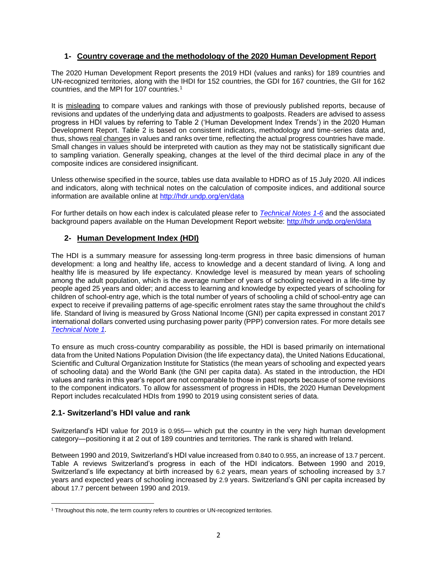### **1- Country coverage and the methodology of the 2020 Human Development Report**

The 2020 Human Development Report presents the 2019 HDI (values and ranks) for 189 countries and UN-recognized territories, along with the IHDI for 152 countries, the GDI for 167 countries, the GII for 162 countries, and the MPI for 107 countries.<sup>1</sup>

It is misleading to compare values and rankings with those of previously published reports, because of revisions and updates of the underlying data and adjustments to goalposts. Readers are advised to assess progress in HDI values by referring to Table 2 ('Human Development Index Trends') in the 2020 Human Development Report. Table 2 is based on consistent indicators, methodology and time-series data and, thus, shows real changes in values and ranks over time, reflecting the actual progress countries have made. Small changes in values should be interpreted with caution as they may not be statistically significant due to sampling variation. Generally speaking, changes at the level of the third decimal place in any of the composite indices are considered insignificant.

Unless otherwise specified in the source, tables use data available to HDRO as of 15 July 2020. All indices and indicators, along with technical notes on the calculation of composite indices, and additional source information are available online at<http://hdr.undp.org/en/data>

For further details on how each index is calculated please refer to *[Technical Notes 1-6](http://hdr.undp.org/sites/default/files/hdr2020_technical_notes.pdf)* and the associated background papers available on the Human Development Report website:<http://hdr.undp.org/en/data>

# **2- Human Development Index (HDI)**

The HDI is a summary measure for assessing long-term progress in three basic dimensions of human development: a long and healthy life, access to knowledge and a decent standard of living. A long and healthy life is measured by life expectancy. Knowledge level is measured by mean years of schooling among the adult population, which is the average number of years of schooling received in a life-time by people aged 25 years and older; and access to learning and knowledge by expected years of schooling for children of school-entry age, which is the total number of years of schooling a child of school-entry age can expect to receive if prevailing patterns of age-specific enrolment rates stay the same throughout the child's life. Standard of living is measured by Gross National Income (GNI) per capita expressed in constant 2017 international dollars converted using purchasing power parity (PPP) conversion rates. For more details see *[Technical Note 1.](http://hdr.undp.org/sites/default/files/hdr2020_technical_notes.pdf)*

To ensure as much cross-country comparability as possible, the HDI is based primarily on international data from the United Nations Population Division (the life expectancy data), the United Nations Educational, Scientific and Cultural Organization Institute for Statistics (the mean years of schooling and expected years of schooling data) and the World Bank (the GNI per capita data). As stated in the introduction, the HDI values and ranks in this year's report are not comparable to those in past reports because of some revisions to the component indicators. To allow for assessment of progress in HDIs, the 2020 Human Development Report includes recalculated HDIs from 1990 to 2019 using consistent series of data.

#### **2.1- Switzerland's HDI value and rank**

Switzerland's HDI value for 2019 is 0.955— which put the country in the very high human development category—positioning it at 2 out of 189 countries and territories. The rank is shared with Ireland.

Between 1990 and 2019, Switzerland's HDI value increased from 0.840 to 0.955, an increase of 13.7 percent. Table A reviews Switzerland's progress in each of the HDI indicators. Between 1990 and 2019, Switzerland's life expectancy at birth increased by 6.2 years, mean years of schooling increased by 3.7 years and expected years of schooling increased by 2.9 years. Switzerland's GNI per capita increased by about 17.7 percent between 1990 and 2019.

<sup>&</sup>lt;sup>1</sup> Throughout this note, the term country refers to countries or UN-recognized territories.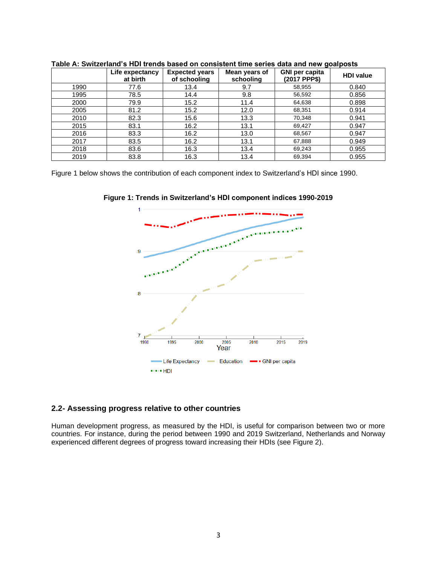|      | Life expectancy<br>at birth | <b>Expected years</b><br>of schooling | Mean years of<br>schooling | <b>GNI per capita</b><br>(2017 PPP\$) | <b>HDI</b> value |
|------|-----------------------------|---------------------------------------|----------------------------|---------------------------------------|------------------|
| 1990 | 77.6                        | 13.4                                  | 9.7                        | 58,955                                | 0.840            |
| 1995 | 78.5                        | 14.4                                  | 9.8                        | 56,592                                | 0.856            |
| 2000 | 79.9                        | 15.2                                  | 11.4                       | 64,638                                | 0.898            |
| 2005 | 81.2                        | 15.2                                  | 12.0                       | 68,351                                | 0.914            |
| 2010 | 82.3                        | 15.6                                  | 13.3                       | 70,348                                | 0.941            |
| 2015 | 83.1                        | 16.2                                  | 13.1                       | 69,427                                | 0.947            |
| 2016 | 83.3                        | 16.2                                  | 13.0                       | 68,567                                | 0.947            |
| 2017 | 83.5                        | 16.2                                  | 13.1                       | 67,888                                | 0.949            |
| 2018 | 83.6                        | 16.3                                  | 13.4                       | 69,243                                | 0.955            |
| 2019 | 83.8                        | 16.3                                  | 13.4                       | 69,394                                | 0.955            |

**Table A: Switzerland's HDI trends based on consistent time series data and new goalposts**

Figure 1 below shows the contribution of each component index to Switzerland's HDI since 1990.



**Figure 1: Trends in Switzerland's HDI component indices 1990-2019**

#### **2.2- Assessing progress relative to other countries**

Human development progress, as measured by the HDI, is useful for comparison between two or more countries. For instance, during the period between 1990 and 2019 Switzerland, Netherlands and Norway experienced different degrees of progress toward increasing their HDIs (see Figure 2).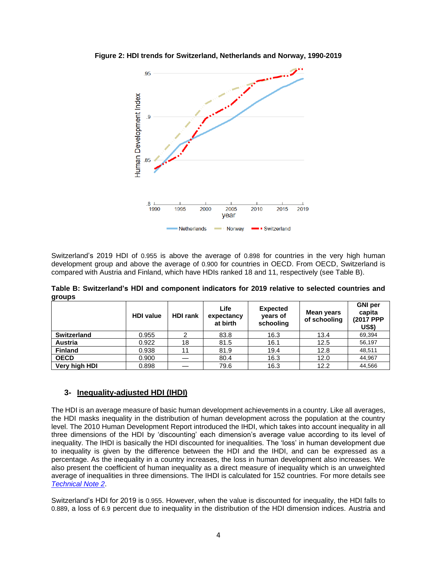



Switzerland's 2019 HDI of 0.955 is above the average of 0.898 for countries in the very high human development group and above the average of 0.900 for countries in OECD. From OECD, Switzerland is compared with Austria and Finland, which have HDIs ranked 18 and 11, respectively (see Table B).

|        | Table B: Switzerland's HDI and component indicators for 2019 relative to selected countries and |  |  |  |  |  |
|--------|-------------------------------------------------------------------------------------------------|--|--|--|--|--|
| groups |                                                                                                 |  |  |  |  |  |

| . .            | <b>HDI</b> value | <b>HDI rank</b> | Life<br>expectancy<br>at birth | <b>Expected</b><br>years of<br>schooling | Mean years<br>of schooling | <b>GNI</b> per<br>capita<br>(2017 PPP<br>US\$) |  |
|----------------|------------------|-----------------|--------------------------------|------------------------------------------|----------------------------|------------------------------------------------|--|
| Switzerland    | 0.955            |                 | 83.8                           | 16.3                                     | 13.4                       | 69,394                                         |  |
| <b>Austria</b> | 0.922            | 18              | 81.5                           | 16.1                                     | 12.5                       | 56.197                                         |  |
| <b>Finland</b> | 0.938            | 11              | 81.9                           | 19.4                                     | 12.8                       | 48,511                                         |  |
| <b>OECD</b>    | 0.900            |                 | 80.4                           | 16.3                                     | 12.0                       | 44.967                                         |  |
| Very high HDI  | 0.898            |                 | 79.6                           | 16.3                                     | 12.2                       | 44.566                                         |  |

#### **3- Inequality-adjusted HDI (IHDI)**

The HDI is an average measure of basic human development achievements in a country. Like all averages, the HDI masks inequality in the distribution of human development across the population at the country level. The 2010 Human Development Report introduced the IHDI, which takes into account inequality in all three dimensions of the HDI by 'discounting' each dimension's average value according to its level of inequality. The IHDI is basically the HDI discounted for inequalities. The 'loss' in human development due to inequality is given by the difference between the HDI and the IHDI, and can be expressed as a percentage. As the inequality in a country increases, the loss in human development also increases. We also present the coefficient of human inequality as a direct measure of inequality which is an unweighted average of inequalities in three dimensions. The IHDI is calculated for 152 countries. For more details see *[Technical Note 2](http://hdr.undp.org/sites/default/files/hdr2020_technical_notes.pdf)*.

Switzerland's HDI for 2019 is 0.955. However, when the value is discounted for inequality, the HDI falls to 0.889, a loss of 6.9 percent due to inequality in the distribution of the HDI dimension indices. Austria and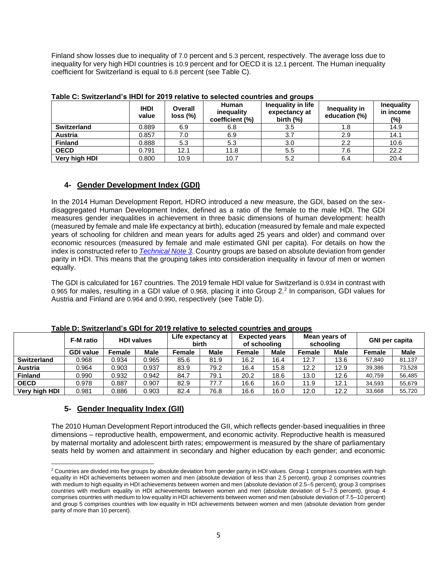Finland show losses due to inequality of 7.0 percent and 5.3 percent, respectively. The average loss due to inequality for very high HDI countries is 10.9 percent and for OECD it is 12.1 percent. The Human inequality coefficient for Switzerland is equal to 6.8 percent (see Table C).

|                    | <b>IHDI</b><br>value | <b>Overall</b><br>loss (%) | <b>Human</b><br>inequality<br>coefficient (%) | Inequality in life<br>expectancy at<br>birth $(\%)$ | Inequality in<br>education (%) | <b>Inequality</b><br>in income<br>$(\%)$ |  |
|--------------------|----------------------|----------------------------|-----------------------------------------------|-----------------------------------------------------|--------------------------------|------------------------------------------|--|
| <b>Switzerland</b> | 0.889                | 6.9                        | 6.8                                           | 3.5                                                 | 1.8                            | 14.9                                     |  |
| <b>Austria</b>     | 0.857                | 7.0                        | 6.9                                           | 3.7                                                 | 2.9                            | 14.1                                     |  |
| <b>Finland</b>     | 0.888                | 5.3                        | 5.3                                           | 3.0                                                 | 2.2                            | 10.6                                     |  |
| <b>OECD</b>        | 0.791                | 12.1                       | 11.8                                          | 5.5                                                 | 7.6                            | 22.2                                     |  |
| Very high HDI      | 0.800                | 10.9                       | 10.7                                          | 5.2                                                 | 6.4                            | 20.4                                     |  |

**Table C: Switzerland's IHDI for 2019 relative to selected countries and groups**

# **4- Gender Development Index (GDI)**

In the 2014 Human Development Report, HDRO introduced a new measure, the GDI, based on the sexdisaggregated Human Development Index, defined as a ratio of the female to the male HDI. The GDI measures gender inequalities in achievement in three basic dimensions of human development: health (measured by female and male life expectancy at birth), education (measured by female and male expected years of schooling for children and mean years for adults aged 25 years and older) and command over economic resources (measured by female and male estimated GNI per capita). For details on how the index is constructed refer to *[Technical Note 3](http://hdr.undp.org/sites/default/files/hdr2020_technical_notes.pdf)*. Country groups are based on absolute deviation from gender parity in HDI. This means that the grouping takes into consideration inequality in favour of men or women equally.

The GDI is calculated for 167 countries. The 2019 female HDI value for Switzerland is 0.934 in contrast with 0.965 for males, resulting in a GDI value of 0.968, placing it into Group 2. 2 In comparison, GDI values for Austria and Finland are 0.964 and 0.990, respectively (see Table D).

|                    | <b>F-M</b> ratio | <b>HDI values</b> |       | Life expectancy at<br>birth |             | <b>Expected years</b><br>of schooling |             | Mean years of<br>schooling |             | <b>GNI per capita</b> |             |
|--------------------|------------------|-------------------|-------|-----------------------------|-------------|---------------------------------------|-------------|----------------------------|-------------|-----------------------|-------------|
|                    | <b>GDI value</b> | Female            | Male  | Female                      | <b>Male</b> | Female                                | <b>Male</b> | <b>Female</b>              | <b>Male</b> | Female                | <b>Male</b> |
| <b>Switzerland</b> | 0.968            | 0.934             | 0.965 | 85.6                        | 81.9        | 16.2                                  | 16.4        | 12.7                       | 13.6        | 57,840                | 81,137      |
| <b>Austria</b>     | 0.964            | 0.903             | 0.937 | 83.9                        | 79.2        | 16.4                                  | 15.8        | 12.2                       | 12.9        | 39,386                | 73,528      |
| <b>Finland</b>     | 0.990            | 0.932             | 0.942 | 84.7                        | 79.1        | 20.2                                  | 18.6        | 13.0                       | 12.6        | 40,759                | 56,485      |
| <b>OECD</b>        | 0.978            | 0.887             | 0.907 | 82.9                        | 77.7        | 16.6                                  | 16.0        | 11.9                       | 12.1        | 34,593                | 55,679      |
| Very high HDI      | 0.981            | 0.886             | 0.903 | 82.4                        | 76.8        | 16.6                                  | 16.0        | 12.0                       | 12.2        | 33,668                | 55,720      |

**Table D: Switzerland's GDI for 2019 relative to selected countries and groups**

#### **5- Gender Inequality Index (GII)**

The 2010 Human Development Report introduced the GII, which reflects gender-based inequalities in three dimensions – reproductive health, empowerment, and economic activity. Reproductive health is measured by maternal mortality and adolescent birth rates; empowerment is measured by the share of parliamentary seats held by women and attainment in secondary and higher education by each gender; and economic

<sup>&</sup>lt;sup>2</sup> Countries are divided into five groups by absolute deviation from gender parity in HDI values. Group 1 comprises countries with high equality in HDI achievements between women and men (absolute deviation of less than 2.5 percent), group 2 comprises countries with medium to high equality in HDI achievements between women and men (absolute deviation of 2.5–5 percent), group 3 comprises countries with medium equality in HDI achievements between women and men (absolute deviation of 5–7.5 percent), group 4 comprises countries with medium to low equality in HDI achievements between women and men (absolute deviation of 7.5–10 percent) and group 5 comprises countries with low equality in HDI achievements between women and men (absolute deviation from gender parity of more than 10 percent).